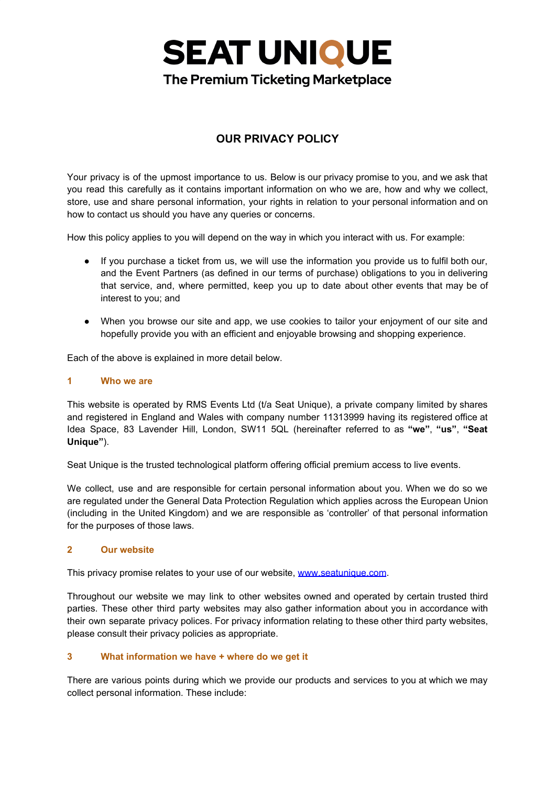## **SEAT UNIQUE The Premium Ticketing Marketplace**

### **OUR PRIVACY POLICY**

Your privacy is of the upmost importance to us. Below is our privacy promise to you, and we ask that you read this carefully as it contains important information on who we are, how and why we collect, store, use and share personal information, your rights in relation to your personal information and on how to contact us should you have any queries or concerns.

How this policy applies to you will depend on the way in which you interact with us. For example:

- If you purchase a ticket from us, we will use the information you provide us to fulfil both our, and the Event Partners (as defined in our terms of purchase) obligations to you in delivering that service, and, where permitted, keep you up to date about other events that may be of interest to you; and
- When you browse our site and app, we use cookies to tailor your enjoyment of our site and hopefully provide you with an efficient and enjoyable browsing and shopping experience.

Each of the above is explained in more detail below.

### **1 Who we are**

This website is operated by RMS Events Ltd (t/a Seat Unique), a private company limited by shares and registered in England and Wales with company number 11313999 having its registered office at Idea Space, 83 Lavender Hill, London, SW11 5QL (hereinafter referred to as **"we"**, **"us"**, **"Seat Unique"**).

Seat Unique is the trusted technological platform offering official premium access to live events.

We collect, use and are responsible for certain personal information about you. When we do so we are regulated under the General Data Protection Regulation which applies across the European Union (including in the United Kingdom) and we are responsible as 'controller' of that personal information for the purposes of those laws.

### **2 Our website**

This privacy promise relates to your use of our website, [www.seatunique.com](http://www.seatunique.com/).

Throughout our website we may link to other websites owned and operated by certain trusted third parties. These other third party websites may also gather information about you in accordance with their own separate privacy polices. For privacy information relating to these other third party websites, please consult their privacy policies as appropriate.

### **3 What information we have + where do we get it**

There are various points during which we provide our products and services to you at which we may collect personal information. These include: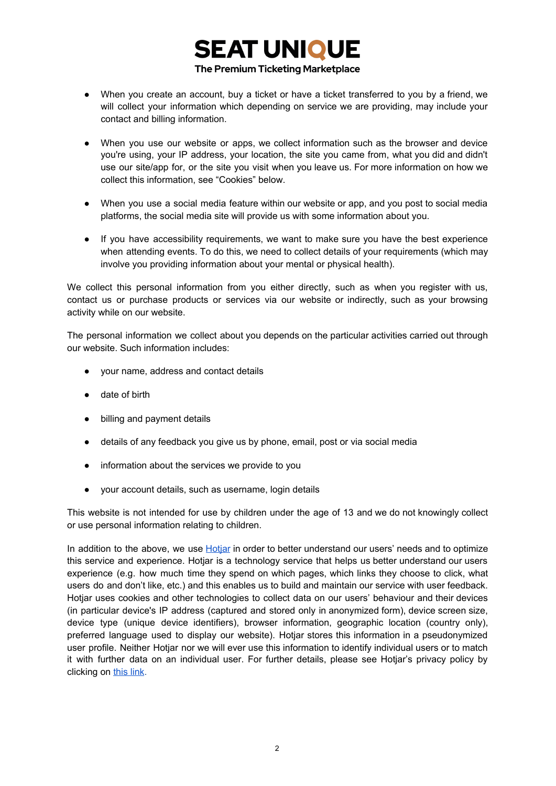### **SEAT UNIQUE** The Premium Ticketing Marketplace

- When you create an account, buy a ticket or have a ticket transferred to you by a friend, we will collect your information which depending on service we are providing, may include your contact and billing information.
- When you use our website or apps, we collect information such as the browser and device you're using, your IP address, your location, the site you came from, what you did and didn't use our site/app for, or the site you visit when you leave us. For more information on how we collect this information, see "Cookies" below.
- When you use a social media feature within our website or app, and you post to social media platforms, the social media site will provide us with some information about you.
- If you have accessibility requirements, we want to make sure you have the best experience when attending events. To do this, we need to collect details of your requirements (which may involve you providing information about your mental or physical health).

We collect this personal information from you either directly, such as when you register with us, contact us or purchase products or services via our website or indirectly, such as your browsing activity while on our website.

The personal information we collect about you depends on the particular activities carried out through our website. Such information includes:

- your name, address and contact details
- date of birth
- billing and payment details
- details of any feedback you give us by phone, email, post or via social media
- information about the services we provide to you
- your account details, such as username, login details

This website is not intended for use by children under the age of 13 and we do not knowingly collect or use personal information relating to children.

In addition to the above, we use Hotiar in order to better understand our users' needs and to optimize this service and experience. Hotjar is a technology service that helps us better understand our users experience (e.g. how much time they spend on which pages, which links they choose to click, what users do and don't like, etc.) and this enables us to build and maintain our service with user feedback. Hotjar uses cookies and other technologies to collect data on our users' behaviour and their devices (in particular device's IP address (captured and stored only in anonymized form), device screen size, device type (unique device identifiers), browser information, geographic location (country only), preferred language used to display our website). Hotjar stores this information in a pseudonymized user profile. Neither Hotjar nor we will ever use this information to identify individual users or to match it with further data on an individual user. For further details, please see Hotjar's privacy policy by clicking on [this](https://www.hotjar.com/legal/policies/privacy) link.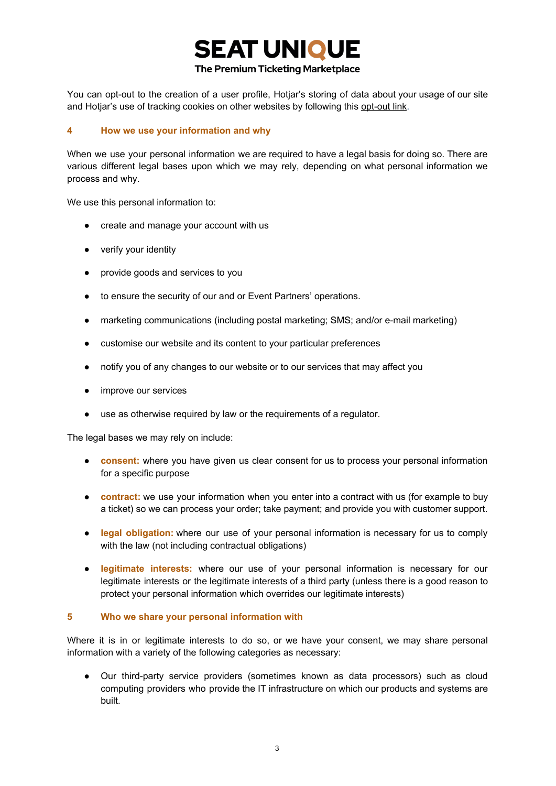# **SEAT UNIQUE**

### The Premium Ticketing Marketplace

You can opt-out to the creation of a user profile, Hotjar's storing of data about your usage of our site and Hotjar's use of tracking cookies on other websites by following this [opt-out](https://www.hotjar.com/legal/compliance/opt-out) link.

### **4 How we use your information and why**

When we use your personal information we are required to have a legal basis for doing so. There are various different legal bases upon which we may rely, depending on what personal information we process and why.

We use this personal information to:

- create and manage your account with us
- verify your identity
- provide goods and services to you
- to ensure the security of our and or Event Partners' operations.
- marketing communications (including postal marketing; SMS; and/or e-mail marketing)
- customise our website and its content to your particular preferences
- notify you of any changes to our website or to our services that may affect you
- improve our services
- use as otherwise required by law or the requirements of a regulator.

The legal bases we may rely on include:

- **consent:** where you have given us clear consent for us to process your personal information for a specific purpose
- **• contract:** we use your information when you enter into a contract with us (for example to buy a ticket) so we can process your order; take payment; and provide you with customer support.
- **legal obligation:** where our use of your personal information is necessary for us to comply with the law (not including contractual obligations)
- **legitimate interests:** where our use of your personal information is necessary for our legitimate interests or the legitimate interests of a third party (unless there is a good reason to protect your personal information which overrides our legitimate interests)

### **5 Who we share your personal information with**

Where it is in or legitimate interests to do so, or we have your consent, we may share personal information with a variety of the following categories as necessary:

● Our third-party service providers (sometimes known as data processors) such as cloud computing providers who provide the IT infrastructure on which our products and systems are built.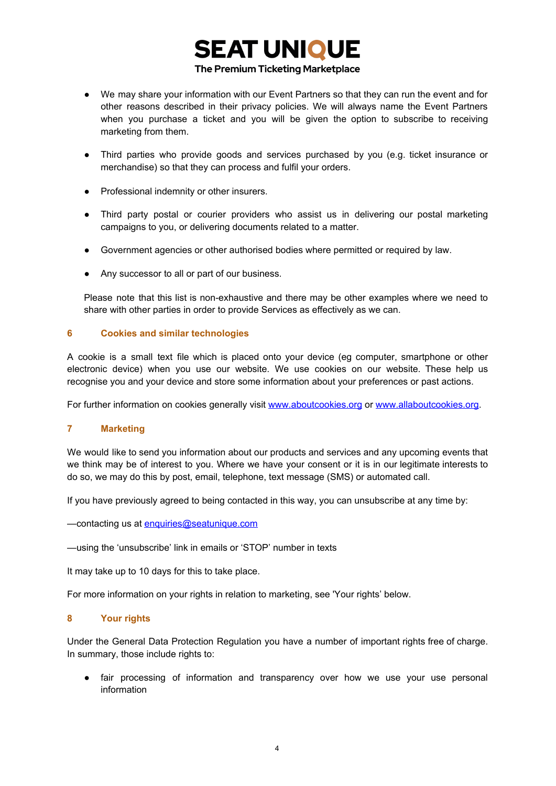# **SEAT UNIQUE**

### The Premium Ticketing Marketplace

- We may share your information with our Event Partners so that they can run the event and for other reasons described in their privacy policies. We will always name the Event Partners when you purchase a ticket and you will be given the option to subscribe to receiving marketing from them.
- Third parties who provide goods and services purchased by you (e.g. ticket insurance or merchandise) so that they can process and fulfil your orders.
- Professional indemnity or other insurers.
- Third party postal or courier providers who assist us in delivering our postal marketing campaigns to you, or delivering documents related to a matter.
- Government agencies or other authorised bodies where permitted or required by law.
- Any successor to all or part of our business.

Please note that this list is non-exhaustive and there may be other examples where we need to share with other parties in order to provide Services as effectively as we can.

### **6 Cookies and similar technologies**

A cookie is a small text file which is placed onto your device (eg computer, smartphone or other electronic device) when you use our website. We use cookies on our website. These help us recognise you and your device and store some information about your preferences or past actions.

For further information on cookies generally visit www.aboutcookies.org or www.allaboutcookies.org.

### **7 Marketing**

We would like to send you information about our products and services and any upcoming events that we think may be of interest to you. Where we have your consent or it is in our legitimate interests to do so, we may do this by post, email, telephone, text message (SMS) or automated call.

If you have previously agreed to being contacted in this way, you can unsubscribe at any time by:

—contacting us at [enquiries@seatunique.com](mailto:enquiries@seatunique.com)

—using the 'unsubscribe' link in emails or 'STOP' number in texts

It may take up to 10 days for this to take place.

For more information on your rights in relation to marketing, see 'Your rights' below.

### **8 Your rights**

Under the General Data Protection Regulation you have a number of important rights free of charge. In summary, those include rights to:

● fair processing of information and transparency over how we use your use personal information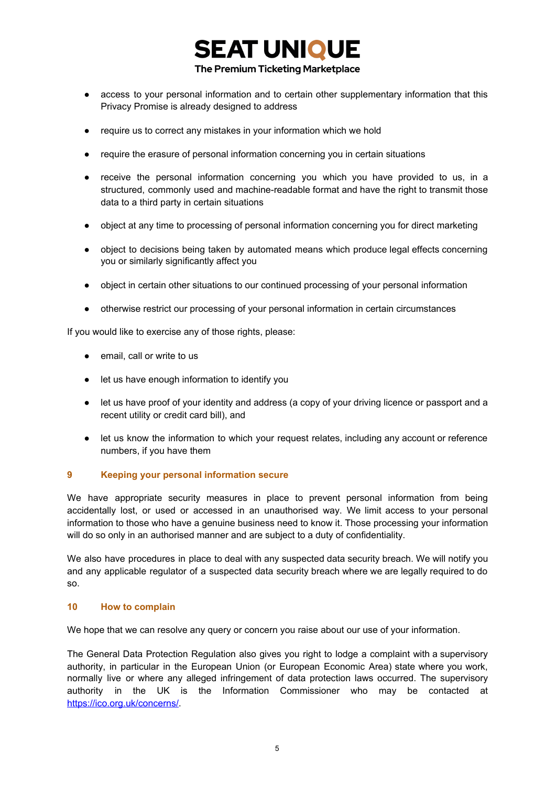

- access to your personal information and to certain other supplementary information that this Privacy Promise is already designed to address
- require us to correct any mistakes in your information which we hold
- require the erasure of personal information concerning you in certain situations
- receive the personal information concerning you which you have provided to us, in a structured, commonly used and machine-readable format and have the right to transmit those data to a third party in certain situations
- object at any time to processing of personal information concerning you for direct marketing
- object to decisions being taken by automated means which produce legal effects concerning you or similarly significantly affect you
- object in certain other situations to our continued processing of your personal information
- otherwise restrict our processing of your personal information in certain circumstances

If you would like to exercise any of those rights, please:

- email, call or write to us
- let us have enough information to identify you
- let us have proof of your identity and address (a copy of your driving licence or passport and a recent utility or credit card bill), and
- let us know the information to which your request relates, including any account or reference numbers, if you have them

### **9 Keeping your personal information secure**

We have appropriate security measures in place to prevent personal information from being accidentally lost, or used or accessed in an unauthorised way. We limit access to your personal information to those who have a genuine business need to know it. Those processing your information will do so only in an authorised manner and are subject to a duty of confidentiality.

We also have procedures in place to deal with any suspected data security breach. We will notify you and any applicable regulator of a suspected data security breach where we are legally required to do so.

### **10 How to complain**

We hope that we can resolve any query or concern you raise about our use of your information.

The General Data Protection Regulation also gives you right to lodge a complaint with a supervisory authority, in particular in the European Union (or European Economic Area) state where you work, normally live or where any alleged infringement of data protection laws occurred. The supervisory authority in the UK is the Information Commissioner who may be contacted at https://ico.org.uk/concerns/.